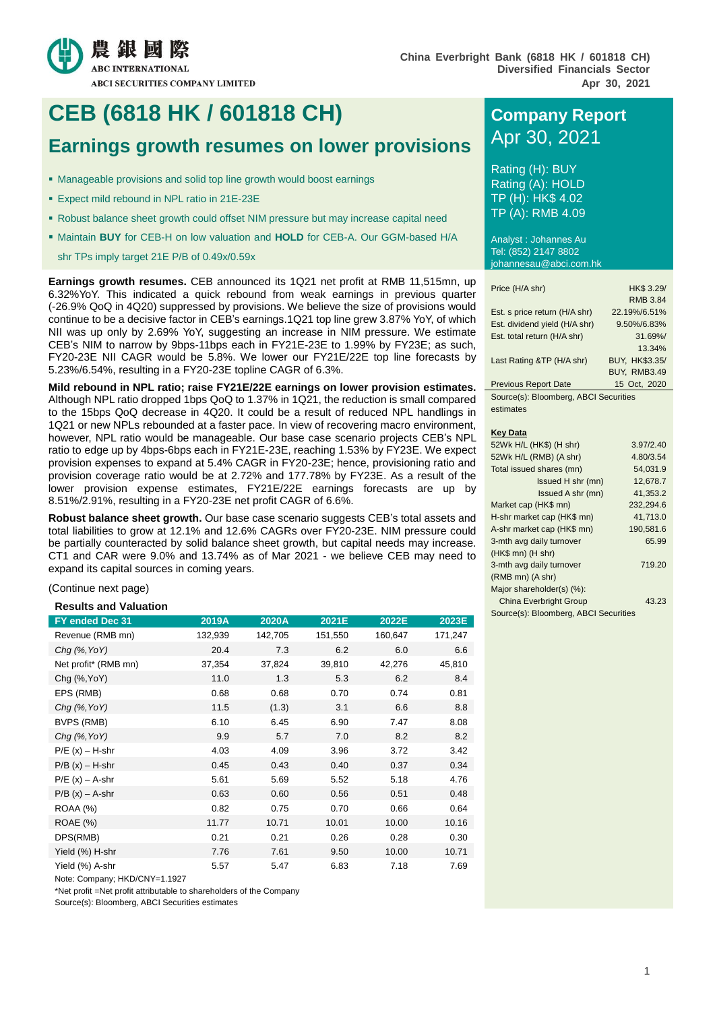

# **CEB (6818 HK / 601818 CH) Company Report**

# **Earnings growth resumes on lower provisions** Apr 30, 2021

- Manageable provisions and solid top line growth would boost earnings
- Expect mild rebound in NPL ratio in 21E-23E
- Robust balance sheet growth could offset NIM pressure but may increase capital need
- **Maintain BUY** for CEB-H on low valuation and **HOLD** for CEB-A. Our GGM-based H/A

shr TPs imply target 21E P/B of 0.49x/0.59x

**Earnings growth resumes.** CEB announced its 1Q21 net profit at RMB 11,515mn, up 6.32%YoY. This indicated a quick rebound from weak earnings in previous quarter (-26.9% QoQ in 4Q20) suppressed by provisions. We believe the size of provisions would continue to be a decisive factor in CEB's earnings.1Q21 top line grew 3.87% YoY, of which NII was up only by 2.69% YoY, suggesting an increase in NIM pressure. We estimate CEB's NIM to narrow by 9bps-11bps each in FY21E-23E to 1.99% by FY23E; as such, FY20-23E NII CAGR would be 5.8%. We lower our FY21E/22E top line forecasts by 5.23%/6.54%, resulting in a FY20-23E topline CAGR of 6.3%.

**Mild rebound in NPL ratio; raise FY21E/22E earnings on lower provision estimates.**  Although NPL ratio dropped 1bps QoQ to 1.37% in 1Q21, the reduction is small compared to the 15bps QoQ decrease in 4Q20. It could be a result of reduced NPL handlings in 1Q21 or new NPLs rebounded at a faster pace. In view of recovering macro environment, however, NPL ratio would be manageable. Our base case scenario projects CEB's NPL ratio to edge up by 4bps-6bps each in FY21E-23E, reaching 1.53% by FY23E. We expect provision expenses to expand at 5.4% CAGR in FY20-23E; hence, provisioning ratio and provision coverage ratio would be at 2.72% and 177.78% by FY23E. As a result of the lower provision expense estimates, FY21E/22E earnings forecasts are up by 8.51%/2.91%, resulting in a FY20-23E net profit CAGR of 6.6%.

**Robust balance sheet growth.** Our base case scenario suggests CEB's total assets and total liabilities to grow at 12.1% and 12.6% CAGRs over FY20-23E. NIM pressure could be partially counteracted by solid balance sheet growth, but capital needs may increase. CT1 and CAR were 9.0% and 13.74% as of Mar 2021 - we believe CEB may need to expand its capital sources in coming years.

(Continue next page)

**Results and Valuation**

| FY ended Dec 31      | 2019A   | 2020A   | 2021E   | 2022E   | 2023E   |
|----------------------|---------|---------|---------|---------|---------|
| Revenue (RMB mn)     | 132,939 | 142,705 | 151,550 | 160,647 | 171,247 |
| $Chq$ (%, YoY)       | 20.4    | 7.3     | 6.2     | 6.0     | 6.6     |
| Net profit* (RMB mn) | 37,354  | 37,824  | 39,810  | 42,276  | 45,810  |
| Chg (%, YoY)         | 11.0    | 1.3     | 5.3     | 6.2     | 8.4     |
| EPS (RMB)            | 0.68    | 0.68    | 0.70    | 0.74    | 0.81    |
| $Chq$ (%, YoY)       | 11.5    | (1.3)   | 3.1     | 6.6     | 8.8     |
| BVPS (RMB)           | 6.10    | 6.45    | 6.90    | 7.47    | 8.08    |
| $Chq$ (%, YoY)       | 9.9     | 5.7     | 7.0     | 8.2     | 8.2     |
| $P/E(x) - H-shr$     | 4.03    | 4.09    | 3.96    | 3.72    | 3.42    |
| $P/B(x) - H-shr$     | 0.45    | 0.43    | 0.40    | 0.37    | 0.34    |
| $P/E(x) - A-shr$     | 5.61    | 5.69    | 5.52    | 5.18    | 4.76    |
| $P/B(x) - A-shr$     | 0.63    | 0.60    | 0.56    | 0.51    | 0.48    |
| <b>ROAA (%)</b>      | 0.82    | 0.75    | 0.70    | 0.66    | 0.64    |
| ROAE (%)             | 11.77   | 10.71   | 10.01   | 10.00   | 10.16   |
| DPS(RMB)             | 0.21    | 0.21    | 0.26    | 0.28    | 0.30    |
| Yield (%) H-shr      | 7.76    | 7.61    | 9.50    | 10.00   | 10.71   |
| Yield (%) A-shr      | 5.57    | 5.47    | 6.83    | 7.18    | 7.69    |

Note: Company; HKD/CNY=1.1927

\*Net profit =Net profit attributable to shareholders of the Company

Source(s): Bloomberg, ABCI Securities estimates

Rating (H): BUY Rating (A): HOLD TP (H): HK\$ 4.02 TP (A): RMB 4.09

Analyst : Johannes Au Tel: (852) 2147 8802 johannesau@abci.com.hk

| Price (H/A shr)                       | HK\$ 3.29/          |
|---------------------------------------|---------------------|
|                                       | <b>RMB 3.84</b>     |
| Est. s price return (H/A shr)         | 22.19%/6.51%        |
| Est. dividend yield (H/A shr)         | 9.50%/6.83%         |
| Est. total return (H/A shr)           | 31.69%              |
|                                       | 13.34%              |
| Last Rating &TP (H/A shr)             | BUY, HK\$3.35/      |
|                                       | <b>BUY. RMB3.49</b> |
| <b>Previous Report Date</b>           | 15 Oct, 2020        |
| Source(s): Bloomberg, ABCJ Securities |                     |

Source(s): Bloomberg, ABCI Securities estimates

#### **Key Data**

| 52Wk H/L (HK\$) (H shr)               | 3.97/2.40 |
|---------------------------------------|-----------|
| 52Wk H/L (RMB) (A shr)                | 4.80/3.54 |
| Total issued shares (mn)              | 54.031.9  |
| Issued H shr (mn)                     | 12,678.7  |
| Issued A shr (mn)                     | 41,353.2  |
| Market cap (HK\$ mn)                  | 232,294.6 |
| H-shr market cap (HK\$ mn)            | 41,713.0  |
| A-shr market cap (HK\$ mn)            | 190,581.6 |
| 3-mth avg daily turnover              | 65.99     |
| (HK\$ mn) (H shr)                     |           |
| 3-mth avg daily turnover              | 719.20    |
| (RMB mn) (A shr)                      |           |
| Major shareholder(s) (%):             |           |
| <b>China Everbright Group</b>         | 43.23     |
| Source(s): Bloomberg, ABCI Securities |           |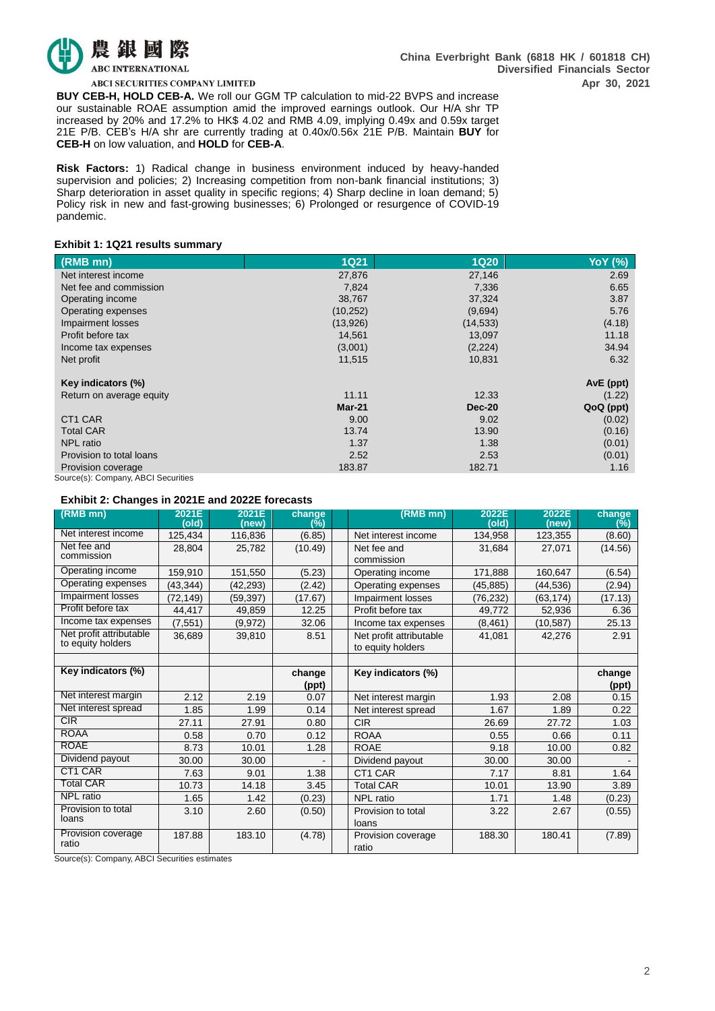

ABCI SECURITIES COMPANY LIMITED

**BUY CEB-H, HOLD CEB-A.** We roll our GGM TP calculation to mid-22 BVPS and increase our sustainable ROAE assumption amid the improved earnings outlook. Our H/A shr TP increased by 20% and 17.2% to HK\$ 4.02 and RMB 4.09, implying 0.49x and 0.59x target 21E P/B. CEB's H/A shr are currently trading at 0.40x/0.56x 21E P/B. Maintain **BUY** for **CEB-H** on low valuation, and **HOLD** for **CEB-A**.

**Risk Factors:** 1) Radical change in business environment induced by heavy-handed supervision and policies; 2) Increasing competition from non-bank financial institutions; 3) Sharp deterioration in asset quality in specific regions; 4) Sharp decline in loan demand; 5) Policy risk in new and fast-growing businesses; 6) Prolonged or resurgence of COVID-19 pandemic.

#### **Exhibit 1: 1Q21 results summary**

| $(RMB$ mn)                          | <b>1Q21</b> | <b>1Q20</b>   | <b>YoY</b> (%) |
|-------------------------------------|-------------|---------------|----------------|
| Net interest income                 | 27,876      | 27,146        | 2.69           |
| Net fee and commission              | 7,824       | 7,336         | 6.65           |
| Operating income                    | 38,767      | 37,324        | 3.87           |
| Operating expenses                  | (10, 252)   | (9,694)       | 5.76           |
| Impairment losses                   | (13,926)    | (14, 533)     | (4.18)         |
| Profit before tax                   | 14,561      | 13,097        | 11.18          |
| Income tax expenses                 | (3,001)     | (2, 224)      | 34.94          |
| Net profit                          | 11,515      | 10,831        | 6.32           |
| Key indicators (%)                  |             |               | AvE (ppt)      |
| Return on average equity            | 11.11       | 12.33         | (1.22)         |
|                                     | $Mar-21$    | <b>Dec-20</b> | QoQ (ppt)      |
| CT <sub>1</sub> CAR                 | 9.00        | 9.02          | (0.02)         |
| <b>Total CAR</b>                    | 13.74       | 13.90         | (0.16)         |
| <b>NPL</b> ratio                    | 1.37        | 1.38          | (0.01)         |
| Provision to total loans            | 2.52        | 2.53          | (0.01)         |
| Provision coverage                  | 183.87      | 182.71        | 1.16           |
| Source(s): Company, ABCI Securities |             |               |                |

#### **Exhibit 2: Changes in 2021E and 2022E forecasts**

| (RMB mn)                 | 2021E<br>(old) | 2021E<br>(new) | change<br>(%) | (RMB mn)                | 2022E<br>(old) | 2022E<br>(new) | change<br>(%) |
|--------------------------|----------------|----------------|---------------|-------------------------|----------------|----------------|---------------|
| Net interest income      | 125,434        | 116,836        | (6.85)        | Net interest income     | 134,958        | 123,355        | (8.60)        |
| Net fee and              | 28.804         | 25,782         | (10.49)       | Net fee and             | 31,684         | 27,071         | (14.56)       |
| commission               |                |                |               | commission              |                |                |               |
| Operating income         | 159,910        | 151,550        | (5.23)        | Operating income        | 171,888        | 160,647        | (6.54)        |
| Operating expenses       | (43,344)       | (42, 293)      | (2.42)        | Operating expenses      | (45,885)       | (44,536)       | (2.94)        |
| <b>Impairment losses</b> | (72, 149)      | (59, 397)      | (17.67)       | Impairment losses       | (76, 232)      | (63, 174)      | (17.13)       |
| Profit before tax        | 44,417         | 49,859         | 12.25         | Profit before tax       | 49,772         | 52,936         | 6.36          |
| Income tax expenses      | (7, 551)       | (9,972)        | 32.06         | Income tax expenses     | (8, 461)       | (10,587)       | 25.13         |
| Net profit attributable  | 36,689         | 39,810         | 8.51          | Net profit attributable | 41,081         | 42,276         | 2.91          |
| to equity holders        |                |                |               | to equity holders       |                |                |               |
|                          |                |                |               |                         |                |                |               |
| Key indicators (%)       |                |                | change        | Key indicators (%)      |                |                | change        |
|                          |                |                | (ppt)         |                         |                |                | (ppt)         |
| Net interest margin      | 2.12           | 2.19           | 0.07          | Net interest margin     | 1.93           | 2.08           | 0.15          |
| Net interest spread      | 1.85           | 1.99           | 0.14          | Net interest spread     | 1.67           | 1.89           | 0.22          |
| CIR                      | 27.11          | 27.91          | 0.80          | <b>CIR</b>              | 26.69          | 27.72          | 1.03          |
| <b>ROAA</b>              | 0.58           | 0.70           | 0.12          | <b>ROAA</b>             | 0.55           | 0.66           | 0.11          |
| <b>ROAE</b>              | 8.73           | 10.01          | 1.28          | <b>ROAE</b>             | 9.18           | 10.00          | 0.82          |
| Dividend payout          | 30.00          | 30.00          |               | Dividend payout         | 30.00          | 30.00          |               |
| CT1 CAR                  | 7.63           | 9.01           | 1.38          | CT1 CAR                 | 7.17           | 8.81           | 1.64          |
| <b>Total CAR</b>         | 10.73          | 14.18          | 3.45          | <b>Total CAR</b>        | 10.01          | 13.90          | 3.89          |
| <b>NPL</b> ratio         | 1.65           | 1.42           | (0.23)        | <b>NPL</b> ratio        | 1.71           | 1.48           | (0.23)        |
| Provision to total       | 3.10           | 2.60           | (0.50)        | Provision to total      | 3.22           | 2.67           | (0.55)        |
| loans                    |                |                |               | loans                   |                |                |               |
| Provision coverage       | 187.88         | 183.10         | (4.78)        | Provision coverage      | 188.30         | 180.41         | (7.89)        |
| ratio                    |                |                |               | ratio                   |                |                |               |

Source(s): Company, ABCI Securities estimates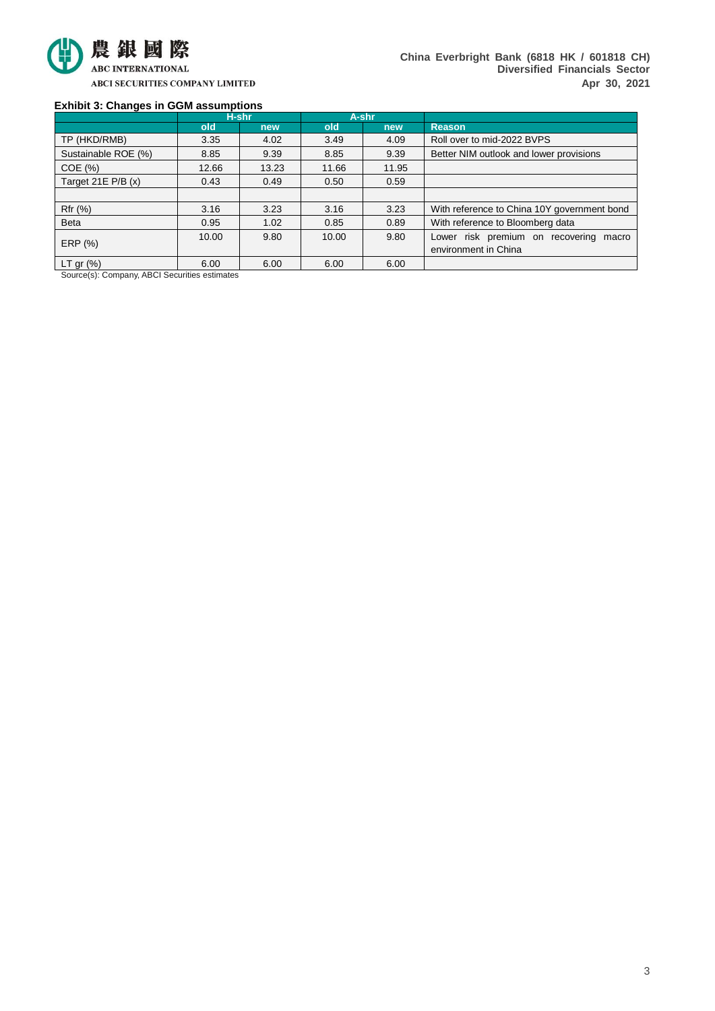

### **Exhibit 3: Changes in GGM assumptions**

|                     | H-shr |       | A-shr |       |                                             |  |  |
|---------------------|-------|-------|-------|-------|---------------------------------------------|--|--|
|                     | old   | new   | old   | new   | <b>Reason</b>                               |  |  |
| TP (HKD/RMB)        | 3.35  | 4.02  | 3.49  | 4.09  | Roll over to mid-2022 BVPS                  |  |  |
| Sustainable ROE (%) | 8.85  | 9.39  | 8.85  | 9.39  | Better NIM outlook and lower provisions     |  |  |
| COE(%)              | 12.66 | 13.23 | 11.66 | 11.95 |                                             |  |  |
| Target 21E P/B (x)  | 0.43  | 0.49  | 0.50  | 0.59  |                                             |  |  |
|                     |       |       |       |       |                                             |  |  |
| Rfr (%)             | 3.16  | 3.23  | 3.16  | 3.23  | With reference to China 10Y government bond |  |  |
| <b>Beta</b>         | 0.95  | 1.02  | 0.85  | 0.89  | With reference to Bloomberg data            |  |  |
|                     | 10.00 | 9.80  | 10.00 | 9.80  | Lower risk premium on recovering<br>macro   |  |  |
| ERP (%)             |       |       |       |       | environment in China                        |  |  |
| LT gr $(\%)$        | 6.00  | 6.00  | 6.00  | 6.00  |                                             |  |  |

Source(s): Company, ABCI Securities estimates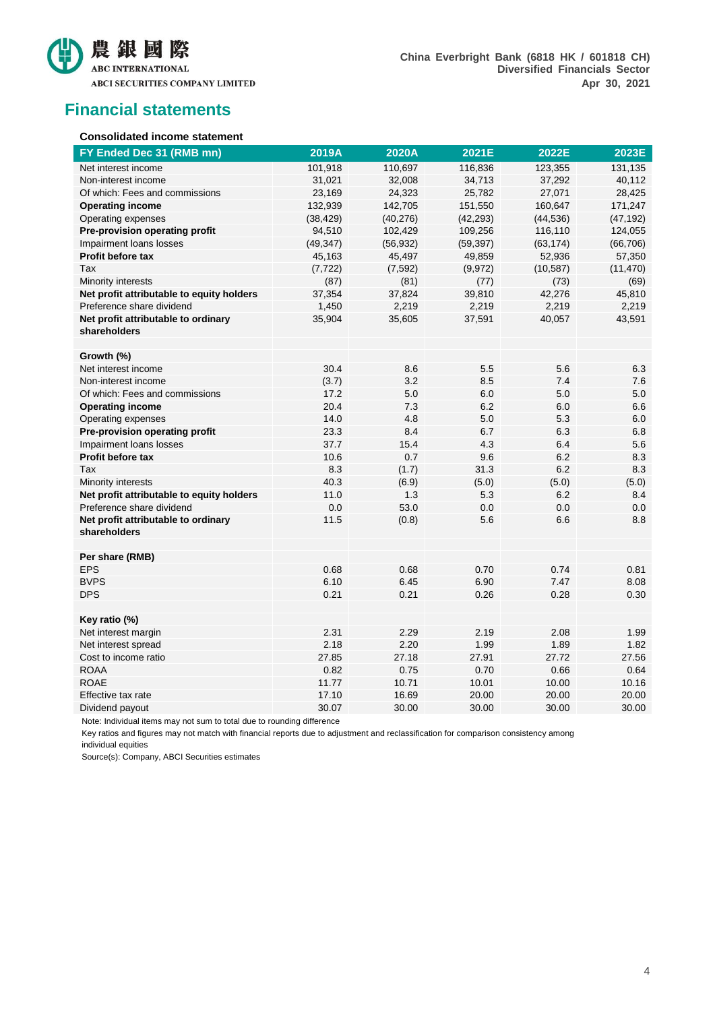

## **Financial statements**

#### **Consolidated income statement**

| FY Ended Dec 31 (RMB mn)                            | 2019A     | 2020A     | 2021E     | 2022E     | 2023E     |
|-----------------------------------------------------|-----------|-----------|-----------|-----------|-----------|
| Net interest income                                 | 101,918   | 110,697   | 116,836   | 123,355   | 131,135   |
| Non-interest income                                 | 31,021    | 32,008    | 34,713    | 37,292    | 40,112    |
| Of which: Fees and commissions                      | 23,169    | 24,323    | 25,782    | 27,071    | 28,425    |
| <b>Operating income</b>                             | 132,939   | 142,705   | 151,550   | 160,647   | 171,247   |
| Operating expenses                                  | (38, 429) | (40, 276) | (42, 293) | (44, 536) | (47, 192) |
| Pre-provision operating profit                      | 94,510    | 102,429   | 109,256   | 116,110   | 124,055   |
| Impairment loans losses                             | (49, 347) | (56, 932) | (59, 397) | (63, 174) | (66, 706) |
| Profit before tax                                   | 45,163    | 45,497    | 49,859    | 52,936    | 57,350    |
| Tax                                                 | (7, 722)  | (7, 592)  | (9,972)   | (10, 587) | (11, 470) |
| Minority interests                                  | (87)      | (81)      | (77)      | (73)      | (69)      |
| Net profit attributable to equity holders           | 37,354    | 37,824    | 39,810    | 42,276    | 45,810    |
| Preference share dividend                           | 1,450     | 2,219     | 2,219     | 2,219     | 2,219     |
| Net profit attributable to ordinary<br>shareholders | 35,904    | 35,605    | 37,591    | 40,057    | 43,591    |
| Growth (%)                                          |           |           |           |           |           |
| Net interest income                                 | 30.4      | 8.6       | 5.5       | 5.6       | 6.3       |
| Non-interest income                                 | (3.7)     | 3.2       | 8.5       | 7.4       | 7.6       |
| Of which: Fees and commissions                      | 17.2      | 5.0       | 6.0       | 5.0       | 5.0       |
| <b>Operating income</b>                             | 20.4      | 7.3       | 6.2       | 6.0       | 6.6       |
| Operating expenses                                  | 14.0      | 4.8       | 5.0       | 5.3       | 6.0       |
| Pre-provision operating profit                      | 23.3      | 8.4       | 6.7       | 6.3       | 6.8       |
| Impairment loans losses                             | 37.7      | 15.4      | 4.3       | 6.4       | 5.6       |
| <b>Profit before tax</b>                            | 10.6      | 0.7       | 9.6       | 6.2       | 8.3       |
| Tax                                                 | 8.3       | (1.7)     | 31.3      | 6.2       | 8.3       |
| Minority interests                                  | 40.3      | (6.9)     | (5.0)     | (5.0)     | (5.0)     |
| Net profit attributable to equity holders           | 11.0      | 1.3       | 5.3       | 6.2       | 8.4       |
| Preference share dividend                           | 0.0       | 53.0      | 0.0       | 0.0       | 0.0       |
| Net profit attributable to ordinary<br>shareholders | 11.5      | (0.8)     | 5.6       | 6.6       | 8.8       |
| Per share (RMB)                                     |           |           |           |           |           |
| <b>EPS</b>                                          | 0.68      | 0.68      | 0.70      | 0.74      | 0.81      |
| <b>BVPS</b>                                         | 6.10      | 6.45      | 6.90      | 7.47      | 8.08      |
| <b>DPS</b>                                          | 0.21      | 0.21      | 0.26      | 0.28      | 0.30      |
| Key ratio (%)                                       |           |           |           |           |           |
| Net interest margin                                 | 2.31      | 2.29      | 2.19      | 2.08      | 1.99      |
| Net interest spread                                 | 2.18      | 2.20      | 1.99      | 1.89      | 1.82      |
| Cost to income ratio                                | 27.85     | 27.18     | 27.91     | 27.72     | 27.56     |
| <b>ROAA</b>                                         | 0.82      | 0.75      | 0.70      | 0.66      | 0.64      |
| <b>ROAE</b>                                         | 11.77     | 10.71     | 10.01     | 10.00     | 10.16     |
| Effective tax rate                                  | 17.10     | 16.69     | 20.00     | 20.00     | 20.00     |
| Dividend payout                                     | 30.07     | 30.00     | 30.00     | 30.00     | 30.00     |

Note: Individual items may not sum to total due to rounding difference

Key ratios and figures may not match with financial reports due to adjustment and reclassification for comparison consistency among individual equities

Source(s): Company, ABCI Securities estimates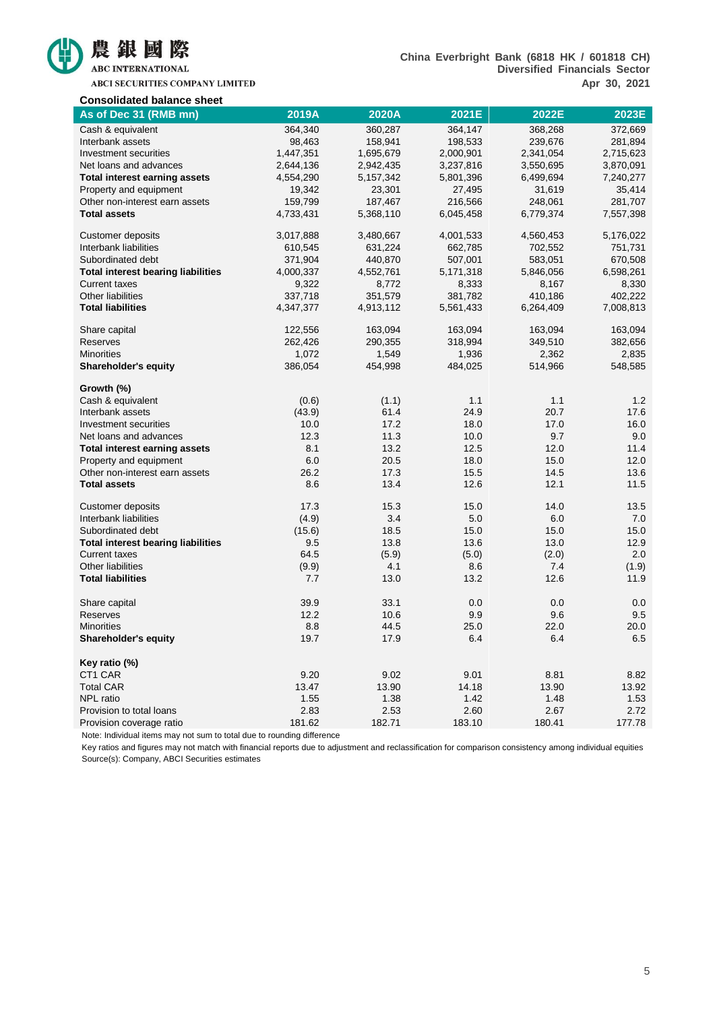

ABCI SECURITIES COMPANY LIMITED

#### **China Everbright Bank (6818 HK / 601818 CH) Diversified Financials Sector Apr 30, 2021**

| <b>Consolidated balance sheet</b>         |           |             |           |           |           |
|-------------------------------------------|-----------|-------------|-----------|-----------|-----------|
| As of Dec 31 (RMB mn)                     | 2019A     | 2020A       | 2021E     | 2022E     | 2023E     |
| Cash & equivalent                         | 364,340   | 360,287     | 364,147   | 368,268   | 372,669   |
| Interbank assets                          | 98,463    | 158,941     | 198,533   | 239,676   | 281,894   |
| Investment securities                     | 1,447,351 | 1,695,679   | 2,000,901 | 2,341,054 | 2,715,623 |
| Net loans and advances                    | 2,644,136 | 2,942,435   | 3,237,816 | 3,550,695 | 3,870,091 |
| <b>Total interest earning assets</b>      | 4,554,290 | 5, 157, 342 | 5,801,396 | 6,499,694 | 7,240,277 |
| Property and equipment                    | 19,342    | 23,301      | 27,495    | 31,619    | 35,414    |
| Other non-interest earn assets            | 159,799   | 187,467     | 216,566   | 248,061   | 281,707   |
| <b>Total assets</b>                       | 4,733,431 | 5,368,110   | 6,045,458 | 6,779,374 | 7,557,398 |
| <b>Customer deposits</b>                  | 3,017,888 | 3,480,667   | 4,001,533 | 4,560,453 | 5,176,022 |
| Interbank liabilities                     | 610,545   | 631,224     | 662,785   | 702,552   | 751,731   |
| Subordinated debt                         | 371,904   | 440,870     | 507,001   | 583,051   | 670,508   |
| <b>Total interest bearing liabilities</b> | 4,000,337 | 4,552,761   | 5,171,318 | 5,846,056 | 6,598,261 |
| <b>Current taxes</b>                      | 9,322     | 8,772       | 8,333     | 8,167     | 8,330     |
| Other liabilities                         | 337,718   | 351,579     | 381,782   | 410,186   | 402,222   |
| <b>Total liabilities</b>                  | 4,347,377 | 4,913,112   | 5,561,433 | 6,264,409 | 7,008,813 |
| Share capital                             | 122,556   | 163,094     | 163,094   | 163,094   | 163,094   |
| Reserves                                  | 262,426   | 290,355     | 318,994   | 349,510   | 382,656   |
| <b>Minorities</b>                         | 1,072     | 1,549       | 1,936     | 2,362     | 2,835     |
| <b>Shareholder's equity</b>               | 386,054   | 454,998     | 484,025   | 514,966   | 548,585   |
| Growth (%)                                |           |             |           |           |           |
| Cash & equivalent                         | (0.6)     | (1.1)       | 1.1       | 1.1       | 1.2       |
| Interbank assets                          | (43.9)    | 61.4        | 24.9      | 20.7      | 17.6      |
| Investment securities                     | 10.0      | 17.2        | 18.0      | 17.0      | 16.0      |
| Net loans and advances                    | 12.3      | 11.3        | 10.0      | 9.7       | 9.0       |
| <b>Total interest earning assets</b>      | 8.1       | 13.2        | 12.5      | 12.0      | 11.4      |
| Property and equipment                    | 6.0       | 20.5        | 18.0      | 15.0      | 12.0      |
| Other non-interest earn assets            | 26.2      | 17.3        | 15.5      | 14.5      | 13.6      |
| <b>Total assets</b>                       | 8.6       | 13.4        | 12.6      | 12.1      | 11.5      |
| Customer deposits                         | 17.3      | 15.3        | 15.0      | 14.0      | 13.5      |
| Interbank liabilities                     | (4.9)     | 3.4         | 5.0       | 6.0       | 7.0       |
| Subordinated debt                         | (15.6)    | 18.5        | 15.0      | 15.0      | 15.0      |
| <b>Total interest bearing liabilities</b> | 9.5       | 13.8        | 13.6      | 13.0      | 12.9      |
| <b>Current taxes</b>                      | 64.5      | (5.9)       | (5.0)     | (2.0)     | 2.0       |
| Other liabilities                         | (9.9)     | 4.1         | 8.6       | 7.4       | (1.9)     |
| <b>Total liabilities</b>                  | 7.7       | 13.0        | 13.2      | 12.6      | 11.9      |
| Share capital                             | 39.9      | 33.1        | 0.0       | 0.0       | 0.0       |
| Reserves                                  | 12.2      | 10.6        | 9.9       | 9.6       | 9.5       |
| <b>Minorities</b>                         | 8.8       | 44.5        | 25.0      | 22.0      | 20.0      |
| <b>Shareholder's equity</b>               | 19.7      | 17.9        | 6.4       | 6.4       | 6.5       |
| Key ratio (%)                             |           |             |           |           |           |
| CT1 CAR                                   | 9.20      | 9.02        | 9.01      | 8.81      | 8.82      |
| <b>Total CAR</b>                          | 13.47     | 13.90       | 14.18     | 13.90     | 13.92     |
| NPL ratio                                 | 1.55      | 1.38        | 1.42      | 1.48      | 1.53      |
| Provision to total loans                  | 2.83      | 2.53        | 2.60      | 2.67      | 2.72      |
| Provision coverage ratio                  | 181.62    | 182.71      | 183.10    | 180.41    | 177.78    |

Note: Individual items may not sum to total due to rounding difference

Key ratios and figures may not match with financial reports due to adjustment and reclassification for comparison consistency among individual equities Source(s): Company, ABCI Securities estimates